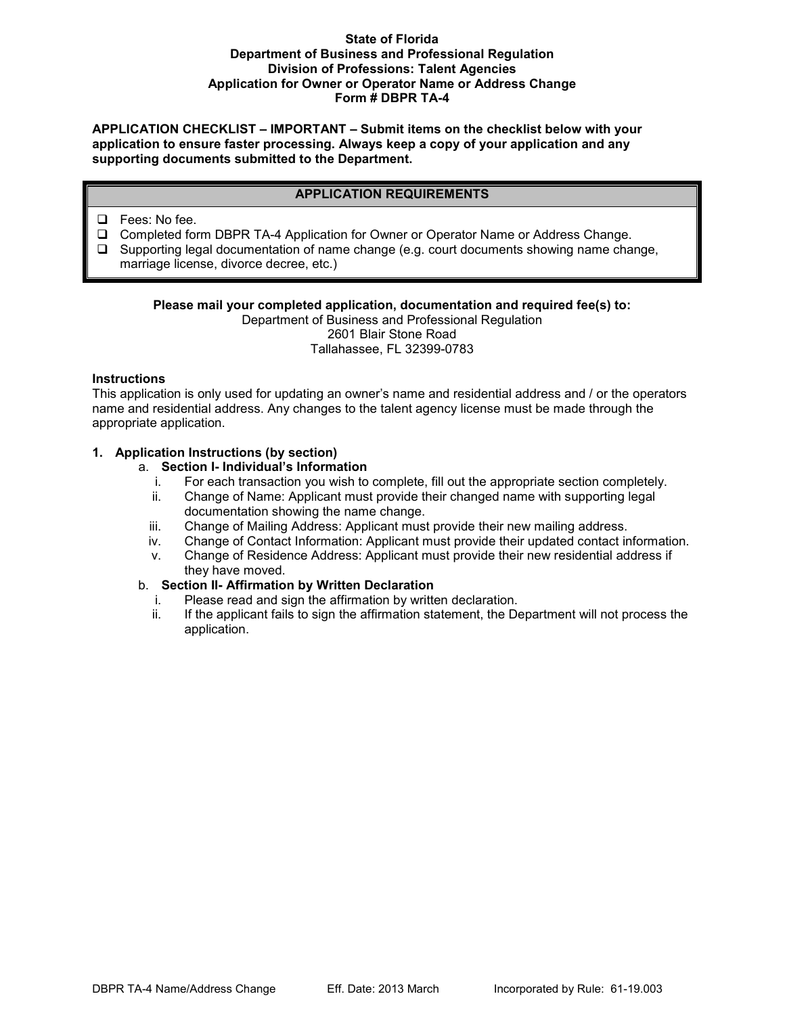# **State of Florida Department of Business and Professional Regulation Division of Professions: Talent Agencies Application for Owner or Operator Name or Address Change Form # DBPR TA-4**

**APPLICATION CHECKLIST – IMPORTANT – Submit items on the checklist below with your application to ensure faster processing. Always keep a copy of your application and any supporting documents submitted to the Department.** 

# **APPLICATION REQUIREMENTS**

- □ Fees: No fee.
- Completed form DBPR TA-4 Application for Owner or Operator Name or Address Change.
- □ Supporting legal documentation of name change (e.g. court documents showing name change, marriage license, divorce decree, etc.)

# **Please mail your completed application, documentation and required fee(s) to:**

Department of Business and Professional Regulation 2601 Blair Stone Road Tallahassee, FL 32399-0783

### **Instructions**

This application is only used for updating an owner's name and residential address and / or the operators name and residential address. Any changes to the talent agency license must be made through the appropriate application.

### **1. Application Instructions (by section)**

# a. **Section I- Individual's Information**

- i. For each transaction you wish to complete, fill out the appropriate section completely.
- ii. Change of Name: Applicant must provide their changed name with supporting legal documentation showing the name change.
- iii. Change of Mailing Address: Applicant must provide their new mailing address.
- iv. Change of Contact Information: Applicant must provide their updated contact information.
- v. Change of Residence Address: Applicant must provide their new residential address if they have moved.

# b. **Section II- Affirmation by Written Declaration**

- i. Please read and sign the affirmation by written declaration.
- ii. If the applicant fails to sign the affirmation statement, the Department will not process the application.